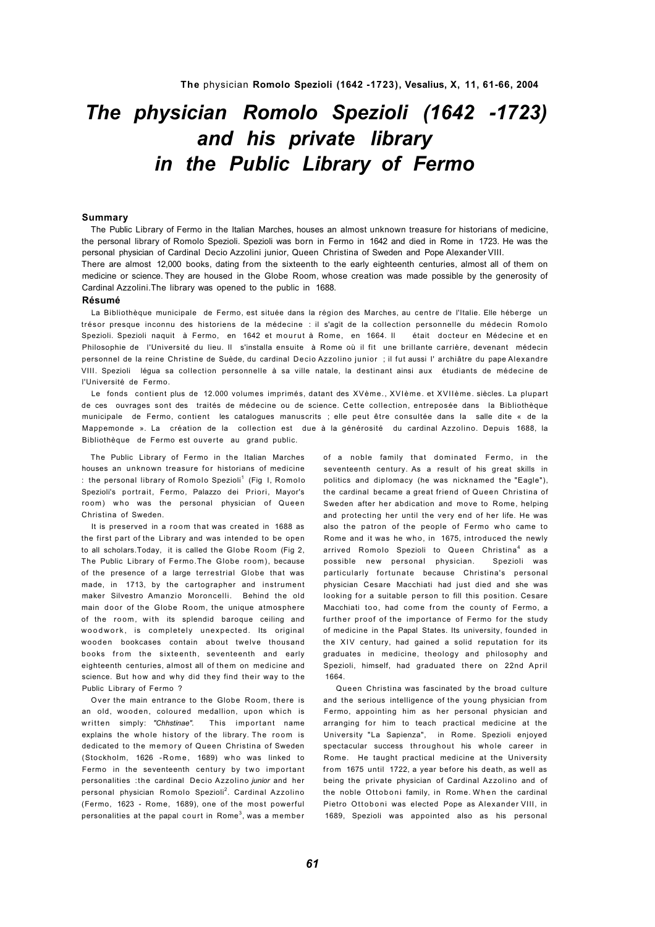# *The physician Romolo Spezioli (1642 -1723) and his private library in the Public Library of Fermo*

# **Summary**

The Public Library of Fermo in the Italian Marches, houses an almost unknown treasure for historians of medicine, the personal library of Romolo Spezioli. Spezioli was born in Fermo in 1642 and died in Rome in 1723. He was the personal physician of Cardinal Decio Azzolini junior, Queen Christina of Sweden and Pope Alexander VIII.

There are almost 12,000 books, dating from the sixteenth to the early eighteenth centuries, almost all of them on medicine or science. They are housed in the Globe Room, whose creation was made possible by the generosity of Cardinal Azzolini.The library was opened to the public in 1688.

#### **Résumé**

La Bibliothèque municipale de Fermo, est située dans la région des Marches, au centre de l'Italie. Elle héberge un trésor presque inconnu des historiens de la médecine : il s'agit de la collection personnelle du médecin Romolo Spezioli. Spezioli naquit à Fermo, en 1642 et mourut à Rome, en 1664. Il était docteur en Médecine et en Philosophie de l'Université du lieu. Il s'installa ensuite à Rome où il fit une brillante carrière, devenant médecin personnel de la reine Christine de Suède, du cardinal Decio Azzolino junior ; il fut aussi I' archiâtre du pape Alexandre VIII. Spezioli légua sa collection personnelle à sa ville natale, la destinant ainsi aux étudiants de médecine de l'Université de Fermo.

Le fonds contient plus de 12.000 volumes imprimés, datant des XVème., XVIème. et XVIIème. siècles. La plupart de ces ouvrages sont des traités de médecine ou de science. Cette collection, entreposée dans la Bibliothèque municipale de Fermo, contient les catalogues manuscrits ; elle peut être consultée dans la salle dite « de la Mappemonde ». La création de la collection est due à la générosité du cardinal Azzolino. Depuis 1688, la Bibliothèque de Fermo est ouverte au grand public.

The Public Library of Fermo in the Italian Marches houses an unknown treasure for historians of medicine : the personal library of Romolo Spezioli<sup>1</sup> (Fig 1, Romolo Spezioli's portrait, Fermo, Palazzo dei Priori, Mayor's room) who was the personal physician of Queen Christina of Sweden.

It is preserved in a room that was created in 1688 as the first part of the Library and was intended to be open to all scholars.Today, it is called the Globe Room (Fig 2, The Public Library of Fermo.The Globe room), because of the presence of a large terrestrial Globe that was made, in 1713, by the cartographer and instrument maker Silvestro Amanzio Moroncelli. Behind the old main door of the Globe Room, the unique atmosphere of the room, with its splendid baroque ceiling and woodwork, is completely unexpected. Its original wooden bookcases contain about twelve thousand books from the sixteenth, seventeenth and early eighteenth centuries, almost all of them on medicine and science. But how and why did they find their way to the Public Library of Fermo ?

Over the main entrance to the Globe Room, there is an old, wooden, coloured medallion, upon which is written simply: "Chhstinae". This important name explains the whole history of the library. The room is dedicated to the memory of Queen Christina of Sweden (Stockholm, 1626 - Rome, 1689) who was linked to Fermo in the seventeenth century by two important personalities :the cardinal Decio Azzolino *junior* and her personal physician Romolo Spezioli<sup>2</sup>. Cardinal Azzolino (Fermo, 1623 - Rome, 1689), one of the most powerful personalities at the papal court in Rome<sup>3</sup>, was a member

of a noble family that dominated Fermo, in the seventeenth century. As a result of his great skills in politics and diplomacy (he was nicknamed the "Eagle"), the cardinal became a great friend of Queen Christina of Sweden after her abdication and move to Rome, helping and protecting her until the very end of her life. He was also the patron of the people of Fermo who came to Rome and it was he who, in 1675, introduced the newly arrived Romolo Spezioli to Queen Christina<sup>4</sup> as a possible new personal physician. Spezioli was particularly fortunate because Christina's personal physician Cesare Macchiati had just died and she was looking for a suitable person to fill this position. Cesare Macchiati too, had come from the county of Fermo, a further proof of the importance of Fermo for the study of medicine in the Papal States. Its university, founded in the XIV century, had gained a solid reputation for its graduates in medicine, theology and philosophy and Spezioli, himself, had graduated there on 22nd April 1664.

Queen Christina was fascinated by the broad culture and the serious intelligence of the young physician from Fermo, appointing him as her personal physician and arranging for him to teach practical medicine at the University "La Sapienza", in Rome. Spezioli enjoyed spectacular success throughout his whole career in Rome. He taught practical medicine at the University from 1675 until 1722, a year before his death, as well as being the private physician of Cardinal Azzolino and of the noble Ottoboni family, in Rome. When the cardinal Pietro Ottoboni was elected Pope as Alexander VIII, in 1689, Spezioli was appointed also as his personal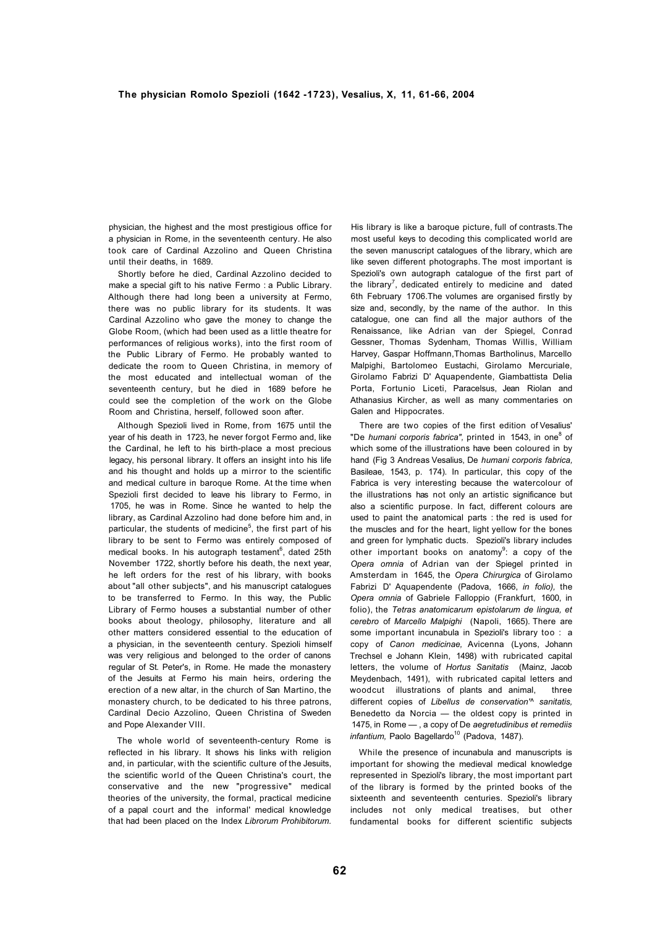physician, the highest and the most prestigious office for a physician in Rome, in the seventeenth century. He also took care of Cardinal Azzolino and Queen Christina until their deaths, in 1689.

Shortly before he died, Cardinal Azzolino decided to make a special gift to his native Fermo : a Public Library. Although there had long been a university at Fermo, there was no public library for its students. It was Cardinal Azzolino who gave the money to change the Globe Room, (which had been used as a little theatre for performances of religious works), into the first room of the Public Library of Fermo. He probably wanted to dedicate the room to Queen Christina, in memory of the most educated and intellectual woman of the seventeenth century, but he died in 1689 before he could see the completion of the work on the Globe Room and Christina, herself, followed soon after.

Although Spezioli lived in Rome, from 1675 until the year of his death in 1723, he never forgot Fermo and, like the Cardinal, he left to his birth-place a most precious legacy, his personal library. It offers an insight into his life and his thought and holds up a mirror to the scientific and medical culture in baroque Rome. At the time when Spezioli first decided to leave his library to Fermo, in 1705, he was in Rome. Since he wanted to help the library, as Cardinal Azzolino had done before him and, in particular, the students of medicine<sup>5</sup>, the first part of his library to be sent to Fermo was entirely composed of medical books. In his autograph testament<sup>6</sup>, dated 25th November 1722, shortly before his death, the next year, he left orders for the rest of his library, with books about "all other subjects", and his manuscript catalogues to be transferred to Fermo. In this way, the Public Library of Fermo houses a substantial number of other books about theology, philosophy, literature and all other matters considered essential to the education of a physician, in the seventeenth century. Spezioli himself was very religious and belonged to the order of canons regular of St. Peter's, in Rome. He made the monastery of the Jesuits at Fermo his main heirs, ordering the erection of a new altar, in the church of San Martino, the monastery church, to be dedicated to his three patrons, Cardinal Decio Azzolino, Queen Christina of Sweden and Pope Alexander VIII.

The whole world of seventeenth-century Rome is reflected in his library. It shows his links with religion and, in particular, with the scientific culture of the Jesuits, the scientific world of the Queen Christina's court, the conservative and the new "progressive" medical theories of the university, the formal, practical medicine of a papal court and the informal' medical knowledge that had been placed on the Index *Librorum Prohibitorum.* 

His library is like a baroque picture, full of contrasts.The most useful keys to decoding this complicated world are the seven manuscript catalogues of the library, which are like seven different photographs. The most important is Spezioli's own autograph catalogue of the first part of the library<sup>7</sup>, dedicated entirely to medicine and dated 6th February 1706.The volumes are organised firstly by size and, secondly, by the name of the author. In this catalogue, one can find all the major authors of the Renaissance, like Adrian van der Spiegel, Conrad Gessner, Thomas Sydenham, Thomas Willis, William Harvey, Gaspar Hoffmann,Thomas Bartholinus, Marcello Malpighi, Bartolomeo Eustachi, Girolamo Mercuriale, Girolamo Fabrizi D' Aquapendente, Giambattista Delia Porta, Fortunio Liceti, Paracelsus, Jean Riolan and Athanasius Kircher, as well as many commentaries on Galen and Hippocrates.

There are two copies of the first edition of Vesalius' "De humani corporis fabrica", printed in 1543, in one<sup>8</sup> of which some of the illustrations have been coloured in by hand (Fig 3 Andreas Vesalius, De *humani corporis fabrica,*  Basileae, 1543, p. 174). In particular, this copy of the Fabrica is very interesting because the watercolour of the illustrations has not only an artistic significance but also a scientific purpose. In fact, different colours are used to paint the anatomical parts : the red is used for the muscles and for the heart, light yellow for the bones and green for lymphatic ducts. Spezioli's library includes other important books on anatomy<sup>9</sup>: a copy of the *Opera omnia* of Adrian van der Spiegel printed in Amsterdam in 1645, the *Opera Chirurgica* of Girolamo Fabrizi D' Aquapendente (Padova, 1666, *in folio),* the *Opera omnia* of Gabriele Falloppio (Frankfurt, 1600, in folio), the *Tetras anatomicarum epistolarum de lingua, et cerebro* of *Marcello Malpighi* (Napoli, 1665). There are some important incunabula in Spezioli's library too : a copy of *Canon medicinae,* Avicenna (Lyons, Johann Trechsel e Johann Klein, 1498) with rubricated capital letters, the volume of *Hortus Sanitatis* (Mainz, Jacob Meydenbach, 1491), with rubricated capital letters and woodcut illustrations of plants and animal, three different copies of *Libellus de conservation'^ sanitatis,*  Benedetto da Norcia — the oldest copy is printed in 1475, in Rome — , a copy of De *aegretudinibus et remediis infantium, Paolo Bagellardo<sup>10</sup> (Padova, 1487).* 

While the presence of incunabula and manuscripts is important for showing the medieval medical knowledge represented in Spezioli's library, the most important part of the library is formed by the printed books of the sixteenth and seventeenth centuries. Spezioli's library includes not only medical treatises, but other fundamental books for different scientific subjects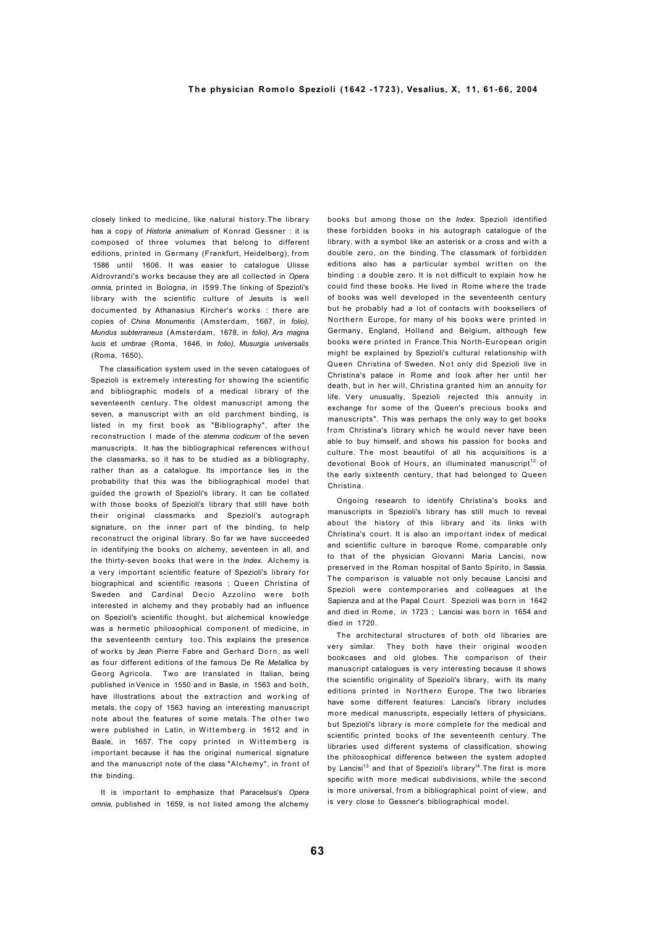# **T h e physician Romolo Spezioli (1642 - 1 7 2 3 ) , Vesalius, X, 11, 61-66, 2004**

closely linked to medicine, like natural history.The library has a copy of *Historia animalium* of Konrad Gessner : it is composed of three volumes that belong to different editions, printed in Germany (Frankfurt, Heidelberg), from 1586 until 1606. It was easier to catalogue Ulisse Aldrovrandi's works because they are all collected in *Opera omnia,* printed in Bologna, in l599.The linking of Spezioli's library with the scientific culture of Jesuits is well documented by Athanasius Kircher's works : there are copies of *China Monumentis* (Amsterdam, 1667, in *folio), Mundus subterraneus* (Amsterdam, 1678, in *folio), Ars magna lucis* et *umbrae* (Roma, 1646, in *folio), Musurgia universalis*  (Roma, 1650).

The classification system used in the seven catalogues of Spezioli is extremely interesting for showing the scientific and bibliographic models of a medical library of the seventeenth century. The oldest manuscript among the seven, a manuscript with an old parchment binding, is listed in my first book as "Bibliography", after the reconstruction I made of the *stemma codicum* of the seven manuscripts. It has the bibliographical references without the classmarks, so it has to be studied as a bibliography, rather than as a catalogue. Its importance lies in the probability that this was the bibliographical model that guided the growth of Spezioli's library. It can be collated with those books of Spezioli's library that still have both their original classmarks and Spezioli's autograph signature, on the inner part of the binding, to help reconstruct the original library. So far we have succeeded in identifying the books on alchemy, seventeen in all, and the thirty-seven books that were in the *Index.* Alchemy is a very important scientific feature of Spezioli's library for biographical and scientific reasons ; Queen Christina of Sweden and Cardinal Decio Azzolino were both interested in alchemy and they probably had an influence on Spezioli's scientific thought, but alchemical knowledge was a hermetic philosophical component of medicine, in the seventeenth century too. This explains the presence of works by Jean Pierre Fabre and Gerhard Dorn, as well as four different editions of the famous De Re *Metallica* by Georg Agricola. Two are translated in Italian, being published in Venice in 1550 and in Basle, in 1563 and both, have illustrations about the extraction and working of metals, the copy of 1563 having an interesting manuscript note about the features of some metals. The other two were published in Latin, in Wittemberg in 1612 and in Basle, in 1657. The copy printed in Wittemberg is important because it has the original numerical signature and the manuscript note of the class "Alchemy", in front of the binding.

It is important to emphasize that Paracelsus's *Opera omnia,* published in 1659, is not listed among the alchemy books but among those on the *Index.* Spezioli identified these forbidden books in his autograph catalogue of the library, with a symbol like an asterisk or a cross and with a double zero, on the binding. The classmark of forbidden editions also has a particular symbol written on the binding : a double zero. It is not difficult to explain how he could find these books. He lived in Rome where the trade of books was well developed in the seventeenth century but he probably had a lot of contacts with booksellers of Northern Europe, for many of his books were printed in Germany, England, Holland and Belgium, although few books were printed in France.This North-European origin might be explained by Spezioli's cultural relationship with Queen Christina of Sweden. Not only did Spezioli live in Christina's palace in Rome and look after her until her death, but in her will, Christina granted him an annuity for life. Very unusually, Spezioli rejected this annuity in exchange for some of the Queen's precious books and manuscripts". This was perhaps the only way to get books from Christina's library which he would never have been able to buy himself, and shows his passion for books and culture. The most beautiful of all his acquisitions is a devotional Book of Hours, an illuminated manuscript<sup>12</sup> of the early sixteenth century, that had belonged to Queen Christina.

Ongoing research to identify Christina's books and manuscripts in Spezioli's library has still much to reveal about the history of this library and its links with Christina's court. It is also an important index of medical and scientific culture in baroque Rome, comparable only to that of the physician Giovanni Maria Lancisi, now preserved in the Roman hospital of Santo Spirito, in Sassia. The comparison is valuable not only because Lancisi and Spezioli were contemporaries and colleagues at the Sapienza and at the Papal Court. Spezioli was born in 1642 and died in Rome, in 1723 ; Lancisi was born in 1654 and died in 1720.

The architectural structures of both old libraries are very similar. They both have their original wooden bookcases and old globes. The comparison of their manuscript catalogues is very interesting because it shows the scientific originality of Spezioli's library, with its many editions printed in Northern Europe. The two libraries have some different features: Lancisi's library includes more medical manuscripts, especially letters of physicians, but Spezioli's library is more complete for the medical and scientific printed books of the seventeenth century. The libraries used different systems of classification, showing the philosophical difference between the system adopted by Lancisi<sup>13</sup> and that of Spezioli's library<sup>14</sup>. The first is more specific with more medical subdivisions, while the second is more universal, from a bibliographical point of view, and is very close to Gessner's bibliographical model.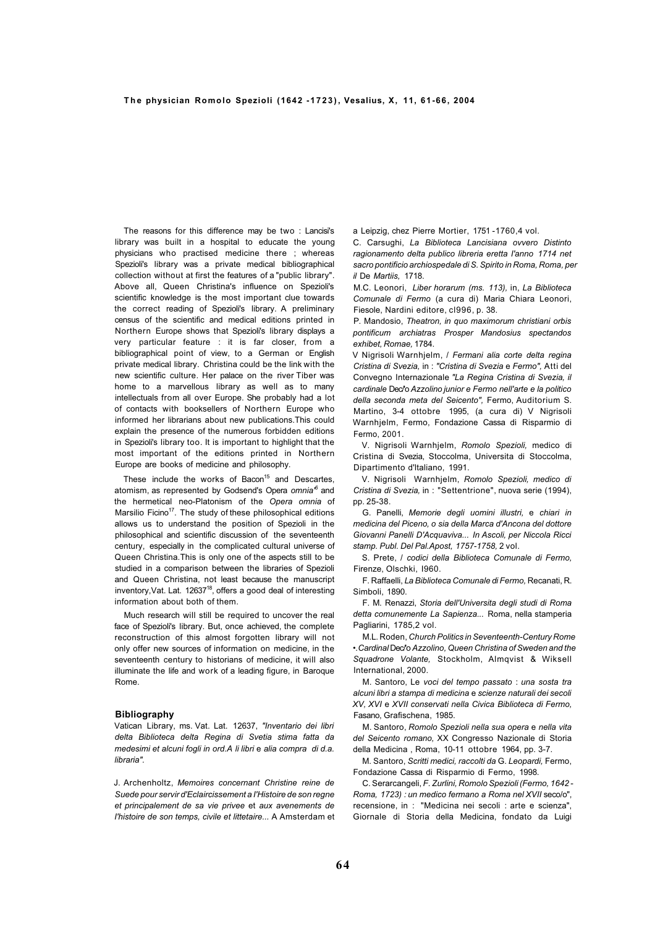The reasons for this difference may be two : Lancisi's library was built in a hospital to educate the young physicians who practised medicine there ; whereas Spezioli's library was a private medical bibliographical collection without at first the features of a "public library". Above all, Queen Christina's influence on Spezioli's scientific knowledge is the most important clue towards the correct reading of Spezioli's library. A preliminary census of the scientific and medical editions printed in Northern Europe shows that Spezioli's library displays a very particular feature : it is far closer, from a bibliographical point of view, to a German or English private medical library. Christina could be the link with the new scientific culture. Her palace on the river Tiber was home to a marvellous library as well as to many intellectuals from all over Europe. She probably had a lot of contacts with booksellers of Northern Europe who informed her librarians about new publications.This could explain the presence of the numerous forbidden editions in Spezioli's library too. It is important to highlight that the most important of the editions printed in Northern Europe are books of medicine and philosophy.

These include the works of Bacon<sup>15</sup> and Descartes, atomism, as represented by Godsend's Opera *omnia'<sup>6</sup>* and the hermetical neo-Platonism of the *Opera omnia* of Marsilio Ficino<sup>17</sup>. The study of these philosophical editions allows us to understand the position of Spezioli in the philosophical and scientific discussion of the seventeenth century, especially in the complicated cultural universe of Queen Christina.This is only one of the aspects still to be studied in a comparison between the libraries of Spezioli and Queen Christina, not least because the manuscript inventory, Vat. Lat. 12637<sup>18</sup>, offers a good deal of interesting information about both of them.

Much research will still be required to uncover the real face of Spezioli's library. But, once achieved, the complete reconstruction of this almost forgotten library will not only offer new sources of information on medicine, in the seventeenth century to historians of medicine, it will also illuminate the life and work of a leading figure, in Baroque Rome.

## **Bibliography**

Vatican Library, ms. Vat. Lat. 12637, *"Inventario dei libri delta Biblioteca delta Regina di Svetia stima fatta da medesimi et alcuni fogli in ord.A li libri* e *alia compra di d.a. libraria".*

J. Archenholtz, *Memoires concernant Christine reine de Suede pour servir d'Eclaircissement a I'Histoire de son regne et principalement de sa vie privee* et *aux avenements de I'histoire de son temps, civile et littetaire...* A Amsterdam et a Leipzig, chez Pierre Mortier, 1751 -1760,4 vol.

C. Carsughi, *La Biblioteca Lancisiana ovvero Distinto ragionamento delta publico libreria eretta I'anno 1714 net sacro pontificio archiospedale di S. Spirito in Roma, Roma, per il* De *Martiis,* 1718.

M.C. Leonori, *Liber horarum (ms. 113),* in, *La Biblioteca Comunale di Fermo* (a cura di) Maria Chiara Leonori, Fiesole, Nardini editore, cl996, p. 38.

P. Mandosio, *Theatron, in quo maximorum christiani orbis pontificum archiatras Prosper Mandosius spectandos exhibet, Romae,* 1784.

V Nigrisoli Warnhjelm, / *Fermani alia corte delta regina Cristina di Svezia,* in : *"Cristina di Svezia* e *Fermo",* Atti del Convegno Internazionale *"La Regina Cristina di Svezia, il cardinale* Dec/'o *Azzolino junior e Fermo nell'arte e la politico della seconda meta del Seicento",* Fermo, Auditorium S. Martino, 3-4 ottobre 1995, (a cura di) V Nigrisoli Warnhjelm, Fermo, Fondazione Cassa di Risparmio di Fermo, 2001.

V. Nigrisoli Warnhjelm, *Romolo Spezioli,* medico di Cristina di Svezia, Stoccolma, Universita di Stoccolma, Dipartimento d'ltaliano, 1991.

V. Nigrisoli Warnhjelm, *Romolo Spezioli, medico di Cristina di Svezia,* in : "Settentrione", nuova serie (1994), pp. 25-38.

G. Panelli, *Memorie degli uomini illustri,* e *chiari in medicina del Piceno, o sia della Marca d'Ancona del dottore Giovanni Panelli D'Acquaviva... In Ascoli, per Niccola Ricci stamp. Publ. Del Pal.Apost, 1757-1758,* 2 vol.

S. Prete, / *codici della Biblioteca Comunale di Fermo,*  Firenze, Olschki, I960.

F. Raffaelli, *La Biblioteca Comunale di Fermo,* Recanati, R. Simboli, 1890.

F. M. Renazzi, *Storia dell'Universita degli studi di Roma detta comunemente La Sapienza...* Roma, nella stamperia Pagliarini, 1785, 2 vol.

M.L. Roden, *Church Politics in Seventeenth-Century Rome •.Cardinal* Dec/'o *Azzolino, Queen Christina of Sweden and the Squadrone Volante,* Stockholm, Almqvist & Wiksell International, 2000.

M. Santoro, Le *voci del tempo passato* : *una sosta tra alcuni libri a stampa di medicina* e *scienze naturali dei secoli XV, XVI* e *XVII conservati nella Civica Biblioteca di Fermo,*  Fasano, Grafischena, 1985.

M. Santoro, *Romolo Spezioli nella sua opera* e *nella vita del Seicento romano,* XX Congresso Nazionale di Storia della Medicina , Roma, 10-11 ottobre 1964, pp. 3-7.

M. Santoro, *Scritti medici, raccolti da* G. *Leopardi,* Fermo, Fondazione Cassa di Risparmio di Fermo, 1998.

C. Serarcangeli, *F. Zurlini, Romolo Spezioli (Fermo, 1642 - Roma, 1723) : un medico fermano a Roma nel XVII* seco/o", recensione, in : "Medicina nei secoli : arte e scienza", Giornale di Storia della Medicina, fondato da Luigi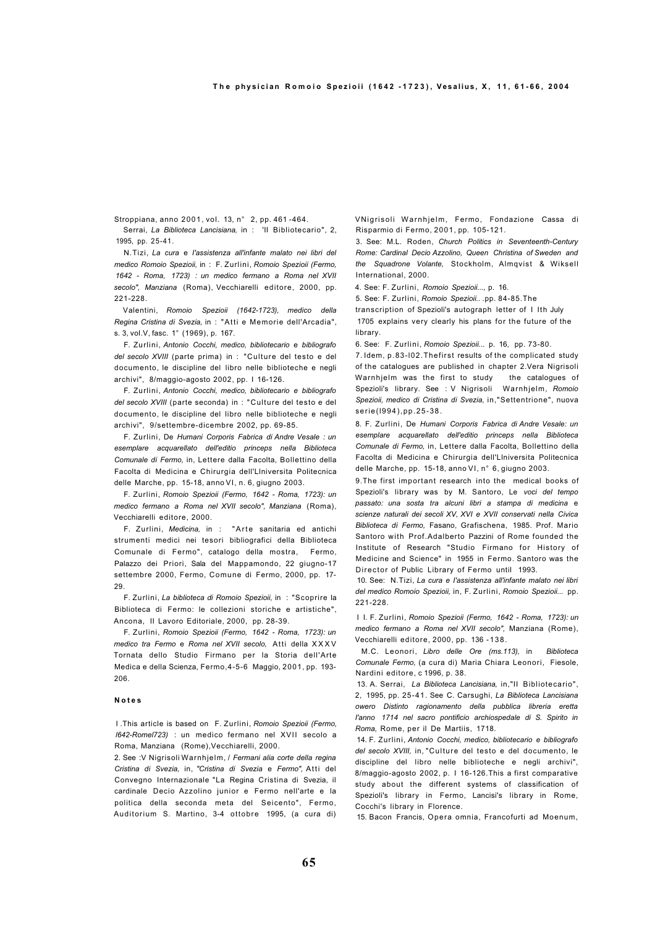Stroppiana, anno 2001, vol. 13, n° 2, pp. 461 -464.

Serrai, *La Biblioteca Lancisiana,* in : 'II Bibliotecario", 2, 1995, pp. 25-41.

N.Tizi, *La cura* e *I'assistenza all'infante malato nei libri del medico Romoio Spezioii,* in : F. Zurlini, *Romoio Spezioii (Fermo, 1642 - Roma, 1723) : un medico fermano a Roma nel XVII secolo", Manziana* (Roma), Vecchiarelli editore, 2000, pp. 221-228.

Valentini, *Romoio Spezioii (1642-1723), medico della Regina Cristina di Svezia,* in : "Atti e Memorie dell'Arcadia", s. 3, vol.V, fasc. 1° (1969), p. 167.

F. Zurlini, *Antonio Cocchi, medico, bibliotecario* e *bibliografo del secolo XVIII* (parte prima) in : "Culture del testo e del documento, le discipline del libro nelle biblioteche e negli archivi", 8/maggio-agosto 2002, pp. I 16-126.

F. Zurlini, *Antonio Cocchi, medico, bibliotecario e bibliografo del secolo XVIII* (parte seconda) in : "Culture del testo e del documento, le discipline del libro nelle biblioteche e negli archivi", 9/settembre-dicembre 2002, pp. 69-85.

F. Zurlini, De *Humani Corporis Fabrica di Andre Vesale : un esemplare acquarellato dell'editio princeps nella Biblioteca Comunale di Fermo,* in, Lettere dalla Facolta, Bollettino della Facolta di Medicina e Chirurgia dell'Llniversita Politecnica delle Marche, pp. 15-18, anno VI, n. 6, giugno 2003.

F. Zurlini, *Romoio Spezioii (Fermo, 1642 - Roma, 1723): un medico fermano a Roma nel XVII secolo", Manziana* (Roma), Vecchiarelli editore, 2000.

F. Zurlini, Medicina, in : "Arte sanitaria ed antichi strumenti medici nei tesori bibliografici della Biblioteca Comunale di Fermo", catalogo della mostra, Fermo, Palazzo dei Priori, Sala del Mappamondo, 22 giugno-17 settembre 2000, Fermo, Comune di Fermo, 2000, pp. 17- 29.

F. Zurlini, *La biblioteca di Romoio Spezioii,* in : "Scoprire la Biblioteca di Fermo: le collezioni storiche e artistiche", Ancona, II Lavoro Editoriale, 2000, pp. 28-39.

F. Zurlini, *Romoio Spezioii (Fermo, 1642 - Roma, 1723): un medico tra Fermo* e *Roma nel XVII secolo,* Atti della X X X V Tornata dello Studio Firmano per la Storia dell'Arte Medica e della Scienza, Fermo,4-5-6 Maggio, 2001, pp. 193- 206.

# **N o t e s**

I .This article is based on F. Zurlini, *Romoio Spezioii (Fermo, l642-Romel723)* : un medico fermano nel XVII secolo a Roma, Manziana (Rome),Vecchiarelli, 2000.

2. See :V Nigrisoli Warnhjelm, / *Fermani alia corte della regina Cristina di Svezia,* in, *"Cristina di Svezia* e *Fermo",* Atti del Convegno Internazionale "La Regina Cristina di Svezia, il cardinale Decio Azzolino junior e Fermo nell'arte e la politica della seconda meta del Seicento", Fermo, Auditorium S. Martino, 3-4 ottobre 1995, (a cura di) VNigrisoli Warnhjelm, Fermo, Fondazione Cassa di Risparmio di Fermo, 2001, pp. 105-121.

3. See: M.L. Roden, *Church Politics in Seventeenth-Century Rome: Cardinal Decio Azzolino, Queen Christina of Sweden and the Squadrone Volante,* Stockholm, Almqvist & Wiksell International, 2000.

4. See: F. Zurlini, *Romoio Spezioii...,* p. 16.

5. See: F. Zurlini, *Romoio Spezioii..* .pp. 84-85.The

transcription of Spezioli's autograph letter of I Ith July 1705 explains very clearly his plans for the future of the library.

6. See: F. Zurlini, *Romoio Spezioii.*.. p. 16, pp. 73-80.

7. Idem, p.83-l02.Thefirst results of the complicated study of the catalogues are published in chapter 2.Vera Nigrisoli Warnhielm was the first to study the catalogues of Spezioli's library. See : V Nigrisoli Warnhjelm, *Romoio Spezioii, medico di Cristina di Svezia,* in,"Settentrione", nuova serie(l994),pp.25-38.

8. F. Zurlini, De *Humani Corporis Fabrica di Andre Vesale: un esemplare acquarellato dell'editio princeps nella Biblioteca Comunale di Fermo,* in, Lettere dalla Facolta, Bollettino della Facolta di Medicina e Chirurgia dell'Llniversita Politecnica delle Marche, pp. 15-18, anno VI, n° 6, giugno 2003.

9.The first important research into the medical books of Spezioli's library was by M. Santoro, Le *voci del tempo passato: una sosta tra alcuni libri a stampa di medicina* e *scienze naturali dei secoli XV, XVI e XVII conservati nella Civica Biblioteca di Fermo,* Fasano, Grafischena, 1985. Prof. Mario Santoro with Prof.Adalberto Pazzini of Rome founded the Institute of Research "Studio Firmano for History of Medicine and Science" in 1955 in Fermo. Santoro was the Director of Public Library of Fermo until 1993.

10. See: N.Tizi, *La cura e I'assistenza all'infante malato nei libri del medico Romoio Spezioii,* in, F. Zurlini, *Romoio Spezioii...* pp. 221-228.

I I. F. Zurlini, *Romoio Spezioii (Fermo, 1642 - Roma, 1723): un medico fermano a Roma nel XVII secolo",* Manziana (Rome), Vecchiarelli editore, 2000, pp. 136 -138.

M.C. Leonori, *Libro delle Ore (ms.113),* in *Biblioteca Comunale Fermo,* (a cura di) Maria Chiara Leonori, Fiesole, Nardini editore, c 1996, p. 38.

13. A. Serrai, *La Biblioteca Lancisiana,* in,"II Bibliotecario", 2, 1995, pp. 25-41. See C. Carsughi, *La Biblioteca Lancisiana owero Distinto ragionamento della pubblica libreria eretta I'anno 1714 nel sacro pontificio archiospedale di S. Spirito in Roma,* Rome, per il De Martiis, 1718.

14. F. Zurlini, *Antonio Cocchi, medico, bibliotecario e bibliografo del secolo XVIII,* in, "Culture del testo e del documento, le discipline del libro nelle biblioteche e negli archivi", 8/maggio-agosto 2002, p. I 16-126.This a first comparative study about the different systems of classification of Spezioli's library in Fermo, Lancisi's library in Rome, Cocchi's library in Florence.

15. Bacon Francis, Opera omnia, Francofurti ad Moenum,